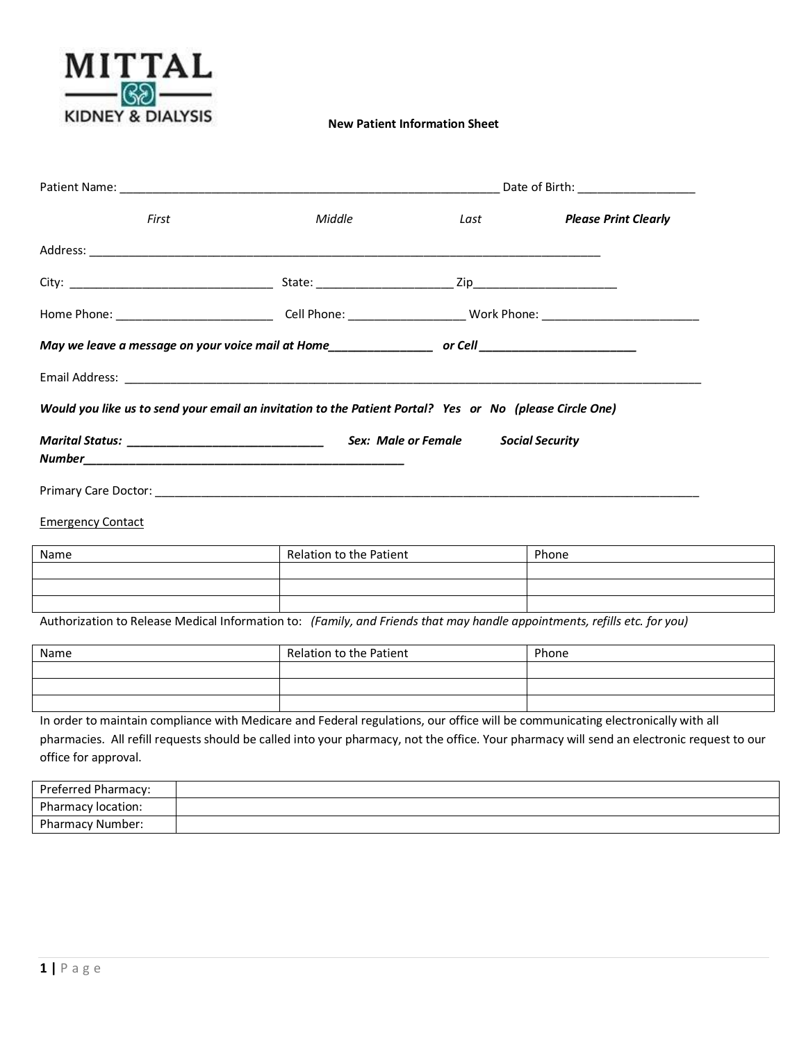

|                                                  |                                                                                                                | Date of Birth: _______________________ |                             |  |
|--------------------------------------------------|----------------------------------------------------------------------------------------------------------------|----------------------------------------|-----------------------------|--|
| First                                            | Middle                                                                                                         | Last                                   | <b>Please Print Clearly</b> |  |
|                                                  |                                                                                                                |                                        |                             |  |
|                                                  |                                                                                                                |                                        |                             |  |
|                                                  |                                                                                                                |                                        |                             |  |
|                                                  | May we leave a message on your voice mail at Home_______________________ or Cell______________________________ |                                        |                             |  |
|                                                  |                                                                                                                |                                        |                             |  |
|                                                  | Would you like us to send your email an invitation to the Patient Portal? Yes or No (please Circle One)        |                                        |                             |  |
| Marital Status: ________________________________ |                                                                                                                | Sex: Male or Female Social Security    |                             |  |
|                                                  |                                                                                                                |                                        |                             |  |
|                                                  |                                                                                                                |                                        |                             |  |
| <b>Emergency Contact</b>                         |                                                                                                                |                                        |                             |  |
| N <sub>2</sub>                                   |                                                                                                                | Polation to the Patient                | Dhano                       |  |

| Name | Relation to the Patient | Phone |
|------|-------------------------|-------|
|      |                         |       |
|      |                         |       |
|      |                         |       |

Authorization to Release Medical Information to: *(Family, and Friends that may handle appointments, refills etc. for you)*

| Name | Relation to the Patient | Phone |
|------|-------------------------|-------|
|      |                         |       |
|      |                         |       |
|      |                         |       |

In order to maintain compliance with Medicare and Federal regulations, our office will be communicating electronically with all pharmacies. All refill requests should be called into your pharmacy, not the office. Your pharmacy will send an electronic request to our office for approval.

| Preferred Pharmacy:     |  |
|-------------------------|--|
| Pharmacy location:      |  |
| <b>Pharmacy Number:</b> |  |